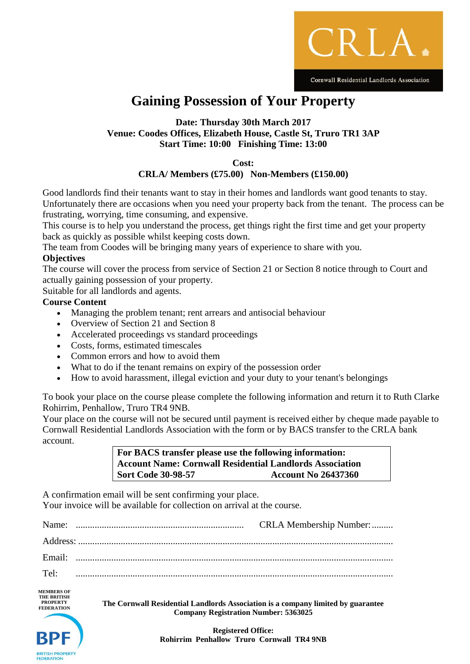

# **Gaining Possession of Your Property**

## **Date: Thursday 30th March 2017 Venue: Coodes Offices, Elizabeth House, Castle St, Truro TR1 3AP Start Time: 10:00 Finishing Time: 13:00**

**Cost:**

# **CRLA/ Members (£75.00) Non-Members (£150.00)**

Good landlords find their tenants want to stay in their homes and landlords want good tenants to stay. Unfortunately there are occasions when you need your property back from the tenant. The process can be frustrating, worrying, time consuming, and expensive.

This course is to help you understand the process, get things right the first time and get your property back as quickly as possible whilst keeping costs down.

The team from Coodes will be bringing many years of experience to share with you.

## **Objectives**

FEDERATION

The course will cover the process from service of Section 21 or Section 8 notice through to Court and actually gaining possession of your property.

Suitable for all landlords and agents.

#### **Course Content**

- Managing the problem tenant; rent arrears and antisocial behaviour
- Overview of Section 21 and Section 8
- Accelerated proceedings vs standard proceedings
- Costs, forms, estimated timescales
- Common errors and how to avoid them
- What to do if the tenant remains on expiry of the possession order
- How to avoid harassment, illegal eviction and your duty to your tenant's belongings

To book your place on the course please complete the following information and return it to Ruth Clarke Rohirrim, Penhallow, Truro TR4 9NB.

Your place on the course will not be secured until payment is received either by cheque made payable to Cornwall Residential Landlords Association with the form or by BACS transfer to the CRLA bank account.

> **For BACS transfer please use the following information: Account Name: Cornwall Residential Landlords Association Sort Code 30-98-57 Account No 26437360**

A confirmation email will be sent confirming your place. Your invoice will be available for collection on arrival at the course.

| Name:                                                                           |                                                                                                                                 | CRLA Membership Number: |
|---------------------------------------------------------------------------------|---------------------------------------------------------------------------------------------------------------------------------|-------------------------|
|                                                                                 |                                                                                                                                 |                         |
| Email:                                                                          |                                                                                                                                 |                         |
| Tel:                                                                            |                                                                                                                                 |                         |
| <b>MEMBERS OF</b><br><b>THE BRITISH</b><br><b>PROPERTY</b><br><b>FEDERATION</b> | The Cornwall Residential Landlords Association is a company limited by guarantee<br><b>Company Registration Number: 5363025</b> |                         |

**Registered Office: Rohirrim Penhallow Truro Cornwall TR4 9NB**